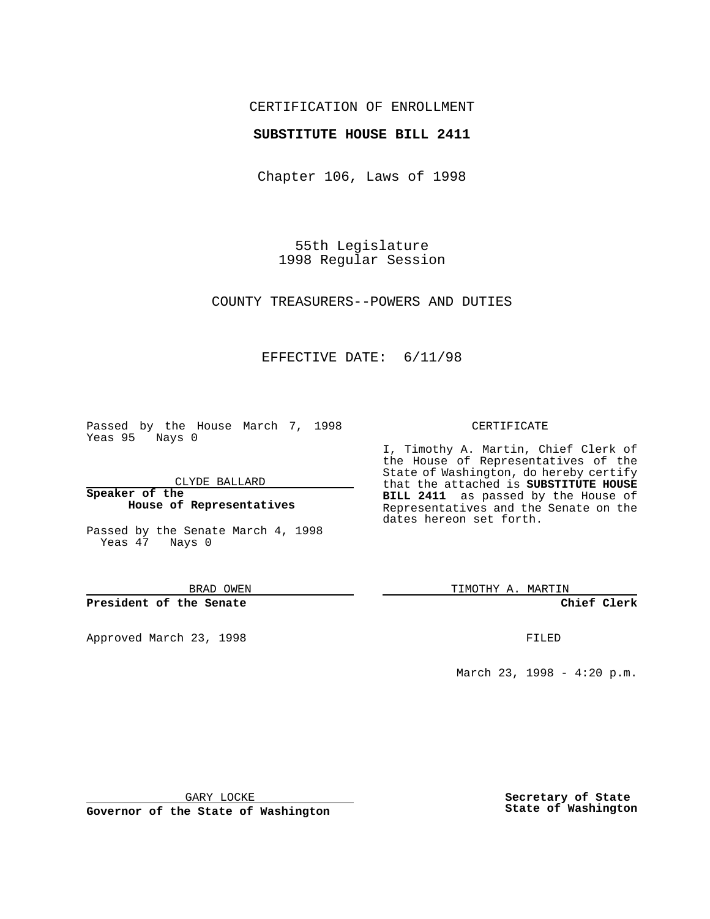## CERTIFICATION OF ENROLLMENT

## **SUBSTITUTE HOUSE BILL 2411**

Chapter 106, Laws of 1998

55th Legislature 1998 Regular Session

COUNTY TREASURERS--POWERS AND DUTIES

## EFFECTIVE DATE: 6/11/98

Passed by the House March 7, 1998 Yeas 95 Nays 0

CLYDE BALLARD

**Speaker of the House of Representatives**

Passed by the Senate March 4, 1998 Yeas 47 Nays 0

BRAD OWEN

**President of the Senate**

Approved March 23, 1998 **FILED** 

#### CERTIFICATE

I, Timothy A. Martin, Chief Clerk of the House of Representatives of the State of Washington, do hereby certify that the attached is **SUBSTITUTE HOUSE BILL 2411** as passed by the House of Representatives and the Senate on the dates hereon set forth.

TIMOTHY A. MARTIN

**Chief Clerk**

March 23, 1998 - 4:20 p.m.

GARY LOCKE

**Governor of the State of Washington**

**Secretary of State State of Washington**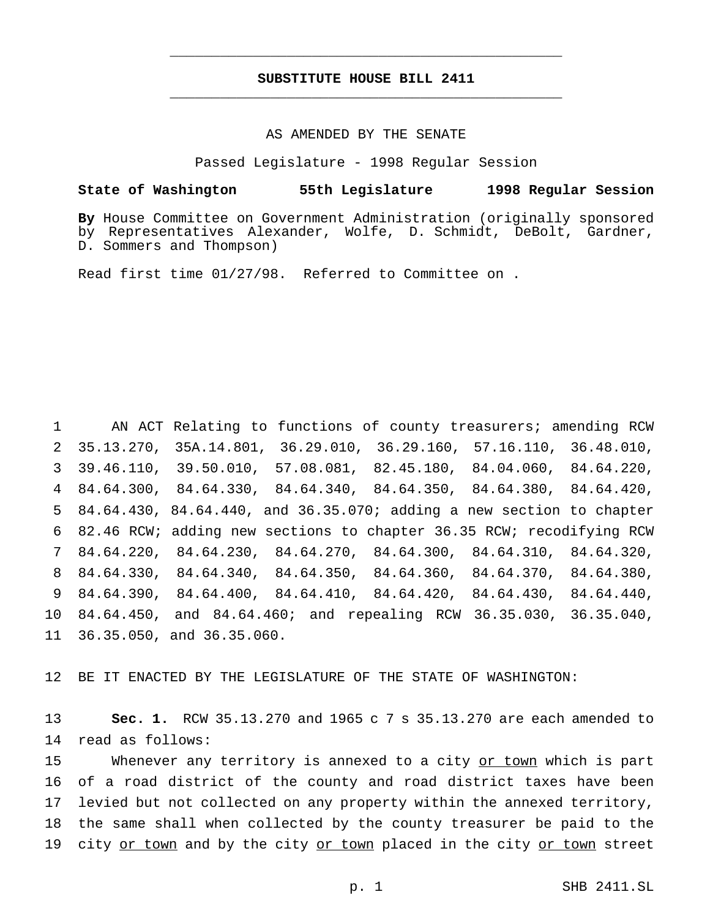# **SUBSTITUTE HOUSE BILL 2411** \_\_\_\_\_\_\_\_\_\_\_\_\_\_\_\_\_\_\_\_\_\_\_\_\_\_\_\_\_\_\_\_\_\_\_\_\_\_\_\_\_\_\_\_\_\_\_

\_\_\_\_\_\_\_\_\_\_\_\_\_\_\_\_\_\_\_\_\_\_\_\_\_\_\_\_\_\_\_\_\_\_\_\_\_\_\_\_\_\_\_\_\_\_\_

### AS AMENDED BY THE SENATE

Passed Legislature - 1998 Regular Session

## **State of Washington 55th Legislature 1998 Regular Session**

**By** House Committee on Government Administration (originally sponsored by Representatives Alexander, Wolfe, D. Schmidt, DeBolt, Gardner, D. Sommers and Thompson)

Read first time 01/27/98. Referred to Committee on .

 AN ACT Relating to functions of county treasurers; amending RCW 35.13.270, 35A.14.801, 36.29.010, 36.29.160, 57.16.110, 36.48.010, 39.46.110, 39.50.010, 57.08.081, 82.45.180, 84.04.060, 84.64.220, 84.64.300, 84.64.330, 84.64.340, 84.64.350, 84.64.380, 84.64.420, 84.64.430, 84.64.440, and 36.35.070; adding a new section to chapter 82.46 RCW; adding new sections to chapter 36.35 RCW; recodifying RCW 84.64.220, 84.64.230, 84.64.270, 84.64.300, 84.64.310, 84.64.320, 84.64.330, 84.64.340, 84.64.350, 84.64.360, 84.64.370, 84.64.380, 84.64.390, 84.64.400, 84.64.410, 84.64.420, 84.64.430, 84.64.440, 84.64.450, and 84.64.460; and repealing RCW 36.35.030, 36.35.040, 36.35.050, and 36.35.060.

12 BE IT ENACTED BY THE LEGISLATURE OF THE STATE OF WASHINGTON:

13 **Sec. 1.** RCW 35.13.270 and 1965 c 7 s 35.13.270 are each amended to 14 read as follows:

15 Whenever any territory is annexed to a city or town which is part 16 of a road district of the county and road district taxes have been 17 levied but not collected on any property within the annexed territory, 18 the same shall when collected by the county treasurer be paid to the 19 city or town and by the city or town placed in the city or town street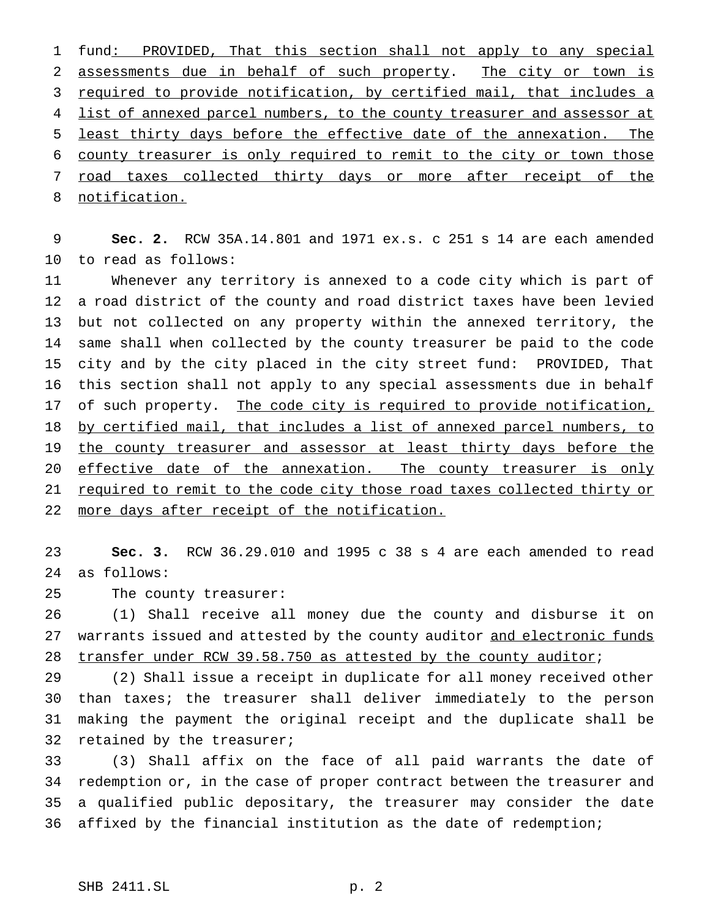fund: PROVIDED, That this section shall not apply to any special assessments due in behalf of such property. The city or town is 3 required to provide notification, by certified mail, that includes a 4 list of annexed parcel numbers, to the county treasurer and assessor at least thirty days before the effective date of the annexation. The county treasurer is only required to remit to the city or town those 7 road taxes collected thirty days or more after receipt of the notification.

 **Sec. 2.** RCW 35A.14.801 and 1971 ex.s. c 251 s 14 are each amended to read as follows:

 Whenever any territory is annexed to a code city which is part of a road district of the county and road district taxes have been levied but not collected on any property within the annexed territory, the same shall when collected by the county treasurer be paid to the code city and by the city placed in the city street fund: PROVIDED, That this section shall not apply to any special assessments due in behalf 17 of such property. The code city is required to provide notification, 18 by certified mail, that includes a list of annexed parcel numbers, to 19 the county treasurer and assessor at least thirty days before the 20 effective date of the annexation. The county treasurer is only 21 required to remit to the code city those road taxes collected thirty or more days after receipt of the notification.

 **Sec. 3.** RCW 36.29.010 and 1995 c 38 s 4 are each amended to read as follows:

The county treasurer:

 (1) Shall receive all money due the county and disburse it on 27 warrants issued and attested by the county auditor and electronic funds 28 transfer under RCW 39.58.750 as attested by the county auditor;

 (2) Shall issue a receipt in duplicate for all money received other than taxes; the treasurer shall deliver immediately to the person making the payment the original receipt and the duplicate shall be 32 retained by the treasurer;

 (3) Shall affix on the face of all paid warrants the date of redemption or, in the case of proper contract between the treasurer and a qualified public depositary, the treasurer may consider the date affixed by the financial institution as the date of redemption;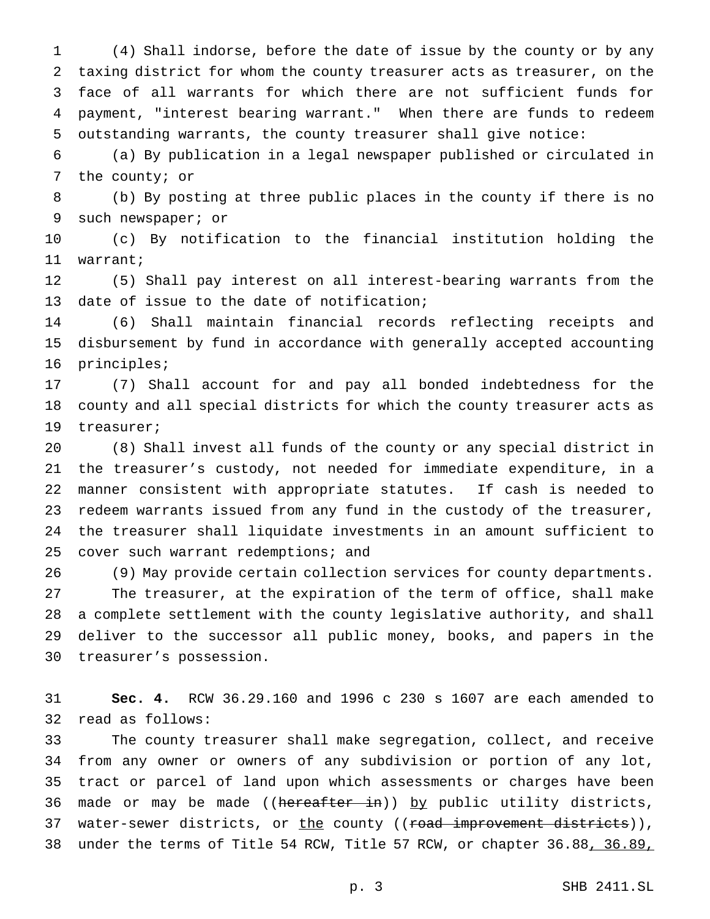(4) Shall indorse, before the date of issue by the county or by any taxing district for whom the county treasurer acts as treasurer, on the face of all warrants for which there are not sufficient funds for payment, "interest bearing warrant." When there are funds to redeem outstanding warrants, the county treasurer shall give notice:

 (a) By publication in a legal newspaper published or circulated in the county; or

 (b) By posting at three public places in the county if there is no such newspaper; or

 (c) By notification to the financial institution holding the warrant;

 (5) Shall pay interest on all interest-bearing warrants from the date of issue to the date of notification;

 (6) Shall maintain financial records reflecting receipts and disbursement by fund in accordance with generally accepted accounting principles;

 (7) Shall account for and pay all bonded indebtedness for the county and all special districts for which the county treasurer acts as treasurer;

 (8) Shall invest all funds of the county or any special district in the treasurer's custody, not needed for immediate expenditure, in a manner consistent with appropriate statutes. If cash is needed to redeem warrants issued from any fund in the custody of the treasurer, the treasurer shall liquidate investments in an amount sufficient to 25 cover such warrant redemptions; and

 (9) May provide certain collection services for county departments. The treasurer, at the expiration of the term of office, shall make a complete settlement with the county legislative authority, and shall deliver to the successor all public money, books, and papers in the treasurer's possession.

 **Sec. 4.** RCW 36.29.160 and 1996 c 230 s 1607 are each amended to read as follows:

 The county treasurer shall make segregation, collect, and receive from any owner or owners of any subdivision or portion of any lot, tract or parcel of land upon which assessments or charges have been 36 made or may be made ((hereafter in)) by public utility districts, 37 water-sewer districts, or the county ((<del>road improvement districts</del>)), under the terms of Title 54 RCW, Title 57 RCW, or chapter 36.88, 36.89,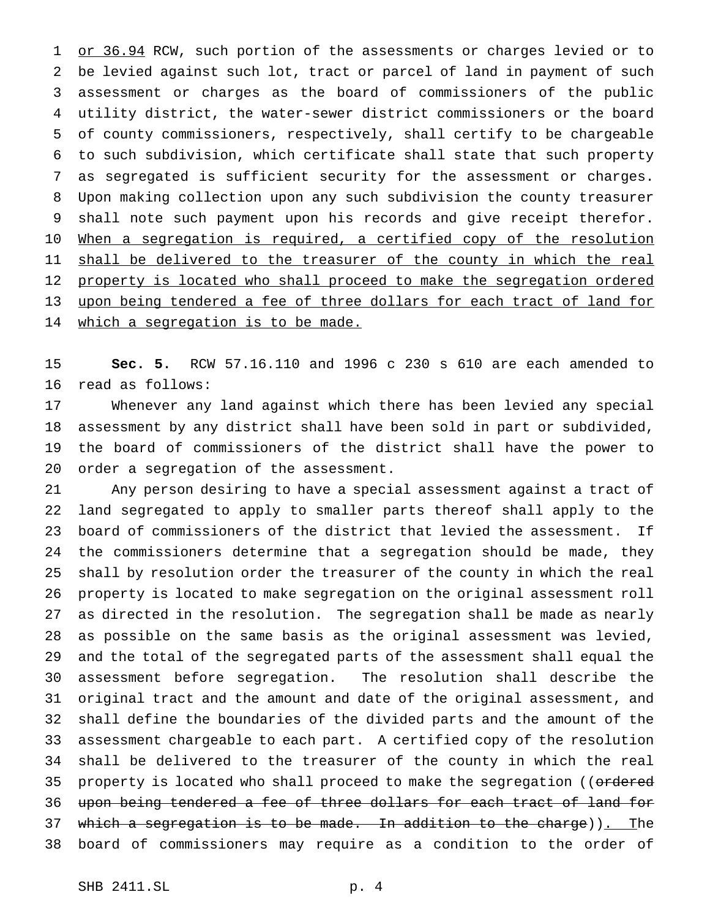1 or 36.94 RCW, such portion of the assessments or charges levied or to be levied against such lot, tract or parcel of land in payment of such assessment or charges as the board of commissioners of the public utility district, the water-sewer district commissioners or the board of county commissioners, respectively, shall certify to be chargeable to such subdivision, which certificate shall state that such property as segregated is sufficient security for the assessment or charges. Upon making collection upon any such subdivision the county treasurer shall note such payment upon his records and give receipt therefor. 10 When a segregation is required, a certified copy of the resolution 11 shall be delivered to the treasurer of the county in which the real 12 property is located who shall proceed to make the segregation ordered upon being tendered a fee of three dollars for each tract of land for 14 which a segregation is to be made.

 **Sec. 5.** RCW 57.16.110 and 1996 c 230 s 610 are each amended to read as follows:

 Whenever any land against which there has been levied any special assessment by any district shall have been sold in part or subdivided, the board of commissioners of the district shall have the power to order a segregation of the assessment.

 Any person desiring to have a special assessment against a tract of land segregated to apply to smaller parts thereof shall apply to the board of commissioners of the district that levied the assessment. If the commissioners determine that a segregation should be made, they shall by resolution order the treasurer of the county in which the real property is located to make segregation on the original assessment roll as directed in the resolution. The segregation shall be made as nearly as possible on the same basis as the original assessment was levied, and the total of the segregated parts of the assessment shall equal the assessment before segregation. The resolution shall describe the original tract and the amount and date of the original assessment, and shall define the boundaries of the divided parts and the amount of the assessment chargeable to each part. A certified copy of the resolution shall be delivered to the treasurer of the county in which the real 35 property is located who shall proceed to make the segregation ((ordered upon being tendered a fee of three dollars for each tract of land for 37 which a segregation is to be made. In addition to the charge)). The board of commissioners may require as a condition to the order of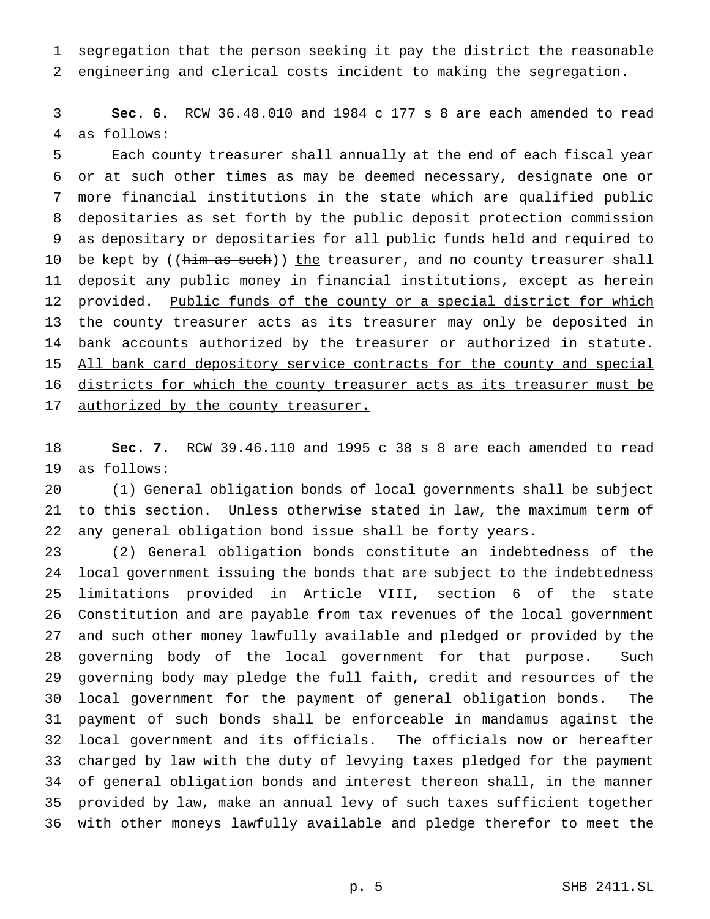segregation that the person seeking it pay the district the reasonable engineering and clerical costs incident to making the segregation.

 **Sec. 6.** RCW 36.48.010 and 1984 c 177 s 8 are each amended to read as follows:

 Each county treasurer shall annually at the end of each fiscal year or at such other times as may be deemed necessary, designate one or more financial institutions in the state which are qualified public depositaries as set forth by the public deposit protection commission as depositary or depositaries for all public funds held and required to 10 be kept by ((him as such)) the treasurer, and no county treasurer shall deposit any public money in financial institutions, except as herein 12 provided. Public funds of the county or a special district for which 13 the county treasurer acts as its treasurer may only be deposited in 14 bank accounts authorized by the treasurer or authorized in statute. 15 All bank card depository service contracts for the county and special 16 districts for which the county treasurer acts as its treasurer must be 17 authorized by the county treasurer.

 **Sec. 7.** RCW 39.46.110 and 1995 c 38 s 8 are each amended to read as follows:

 (1) General obligation bonds of local governments shall be subject to this section. Unless otherwise stated in law, the maximum term of any general obligation bond issue shall be forty years.

 (2) General obligation bonds constitute an indebtedness of the local government issuing the bonds that are subject to the indebtedness limitations provided in Article VIII, section 6 of the state Constitution and are payable from tax revenues of the local government and such other money lawfully available and pledged or provided by the governing body of the local government for that purpose. Such governing body may pledge the full faith, credit and resources of the local government for the payment of general obligation bonds. The payment of such bonds shall be enforceable in mandamus against the local government and its officials. The officials now or hereafter charged by law with the duty of levying taxes pledged for the payment of general obligation bonds and interest thereon shall, in the manner provided by law, make an annual levy of such taxes sufficient together with other moneys lawfully available and pledge therefor to meet the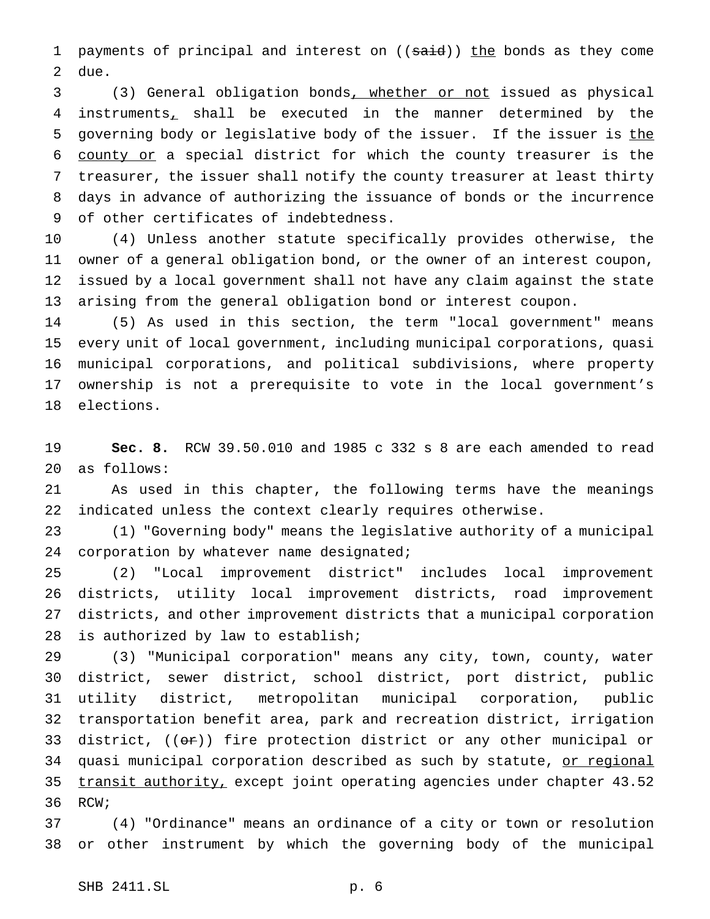1 payments of principal and interest on ((said)) the bonds as they come due.

 (3) General obligation bonds, whether or not issued as physical instruments, shall be executed in the manner determined by the 5 governing body or legislative body of the issuer. If the issuer is the county or a special district for which the county treasurer is the treasurer, the issuer shall notify the county treasurer at least thirty days in advance of authorizing the issuance of bonds or the incurrence of other certificates of indebtedness.

 (4) Unless another statute specifically provides otherwise, the owner of a general obligation bond, or the owner of an interest coupon, issued by a local government shall not have any claim against the state arising from the general obligation bond or interest coupon.

 (5) As used in this section, the term "local government" means every unit of local government, including municipal corporations, quasi municipal corporations, and political subdivisions, where property ownership is not a prerequisite to vote in the local government's elections.

 **Sec. 8.** RCW 39.50.010 and 1985 c 332 s 8 are each amended to read as follows:

 As used in this chapter, the following terms have the meanings indicated unless the context clearly requires otherwise.

 (1) "Governing body" means the legislative authority of a municipal 24 corporation by whatever name designated;

 (2) "Local improvement district" includes local improvement districts, utility local improvement districts, road improvement districts, and other improvement districts that a municipal corporation is authorized by law to establish;

 (3) "Municipal corporation" means any city, town, county, water district, sewer district, school district, port district, public utility district, metropolitan municipal corporation, public transportation benefit area, park and recreation district, irrigation 33 district,  $((\theta \cdot \hat{r}))$  fire protection district or any other municipal or 34 quasi municipal corporation described as such by statute, or regional 35 transit authority, except joint operating agencies under chapter 43.52 RCW;

 (4) "Ordinance" means an ordinance of a city or town or resolution or other instrument by which the governing body of the municipal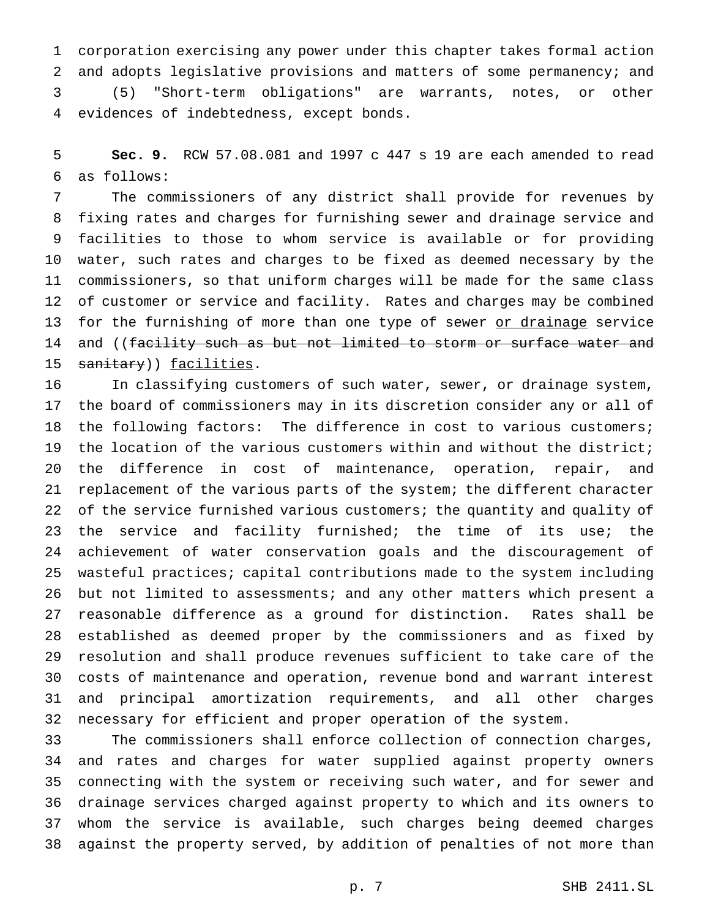corporation exercising any power under this chapter takes formal action and adopts legislative provisions and matters of some permanency; and (5) "Short-term obligations" are warrants, notes, or other evidences of indebtedness, except bonds.

 **Sec. 9.** RCW 57.08.081 and 1997 c 447 s 19 are each amended to read as follows:

 The commissioners of any district shall provide for revenues by fixing rates and charges for furnishing sewer and drainage service and facilities to those to whom service is available or for providing water, such rates and charges to be fixed as deemed necessary by the commissioners, so that uniform charges will be made for the same class of customer or service and facility. Rates and charges may be combined 13 for the furnishing of more than one type of sewer or drainage service 14 and ((facility such as but not limited to storm or surface water and 15 sanitary)) facilities.

 In classifying customers of such water, sewer, or drainage system, the board of commissioners may in its discretion consider any or all of the following factors: The difference in cost to various customers; the location of the various customers within and without the district; the difference in cost of maintenance, operation, repair, and replacement of the various parts of the system; the different character 22 of the service furnished various customers; the quantity and quality of 23 the service and facility furnished; the time of its use; the achievement of water conservation goals and the discouragement of wasteful practices; capital contributions made to the system including but not limited to assessments; and any other matters which present a reasonable difference as a ground for distinction. Rates shall be established as deemed proper by the commissioners and as fixed by resolution and shall produce revenues sufficient to take care of the costs of maintenance and operation, revenue bond and warrant interest and principal amortization requirements, and all other charges necessary for efficient and proper operation of the system.

 The commissioners shall enforce collection of connection charges, and rates and charges for water supplied against property owners connecting with the system or receiving such water, and for sewer and drainage services charged against property to which and its owners to whom the service is available, such charges being deemed charges against the property served, by addition of penalties of not more than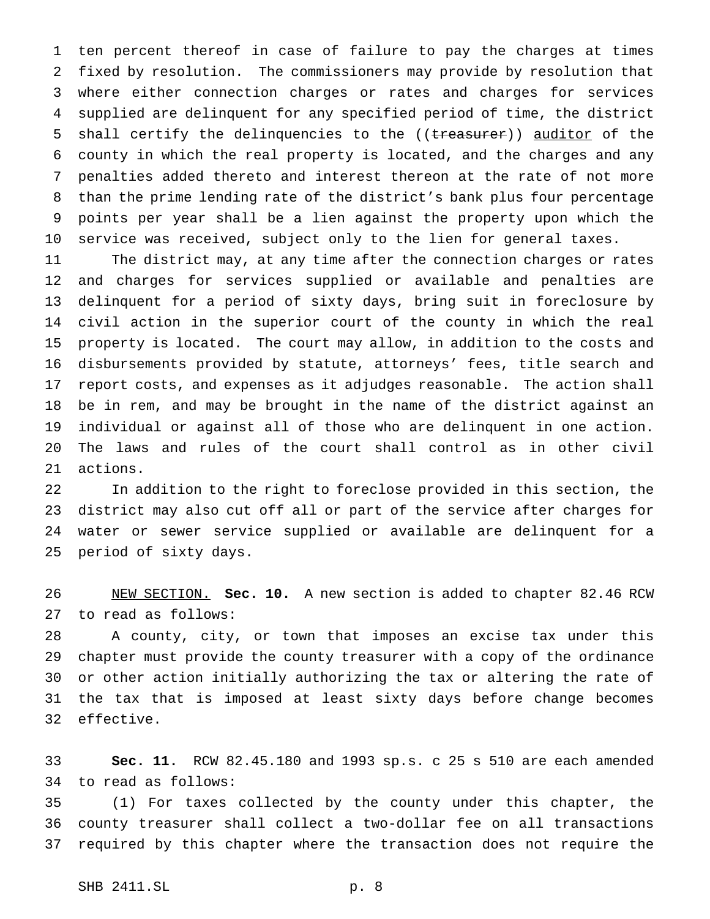ten percent thereof in case of failure to pay the charges at times fixed by resolution. The commissioners may provide by resolution that where either connection charges or rates and charges for services supplied are delinquent for any specified period of time, the district 5 shall certify the delinquencies to the ((treasurer)) auditor of the county in which the real property is located, and the charges and any penalties added thereto and interest thereon at the rate of not more than the prime lending rate of the district's bank plus four percentage points per year shall be a lien against the property upon which the service was received, subject only to the lien for general taxes.

 The district may, at any time after the connection charges or rates and charges for services supplied or available and penalties are delinquent for a period of sixty days, bring suit in foreclosure by civil action in the superior court of the county in which the real property is located. The court may allow, in addition to the costs and disbursements provided by statute, attorneys' fees, title search and report costs, and expenses as it adjudges reasonable. The action shall be in rem, and may be brought in the name of the district against an individual or against all of those who are delinquent in one action. The laws and rules of the court shall control as in other civil actions.

 In addition to the right to foreclose provided in this section, the district may also cut off all or part of the service after charges for water or sewer service supplied or available are delinquent for a period of sixty days.

 NEW SECTION. **Sec. 10.** A new section is added to chapter 82.46 RCW to read as follows:

 A county, city, or town that imposes an excise tax under this chapter must provide the county treasurer with a copy of the ordinance or other action initially authorizing the tax or altering the rate of the tax that is imposed at least sixty days before change becomes effective.

 **Sec. 11.** RCW 82.45.180 and 1993 sp.s. c 25 s 510 are each amended to read as follows:

 (1) For taxes collected by the county under this chapter, the county treasurer shall collect a two-dollar fee on all transactions required by this chapter where the transaction does not require the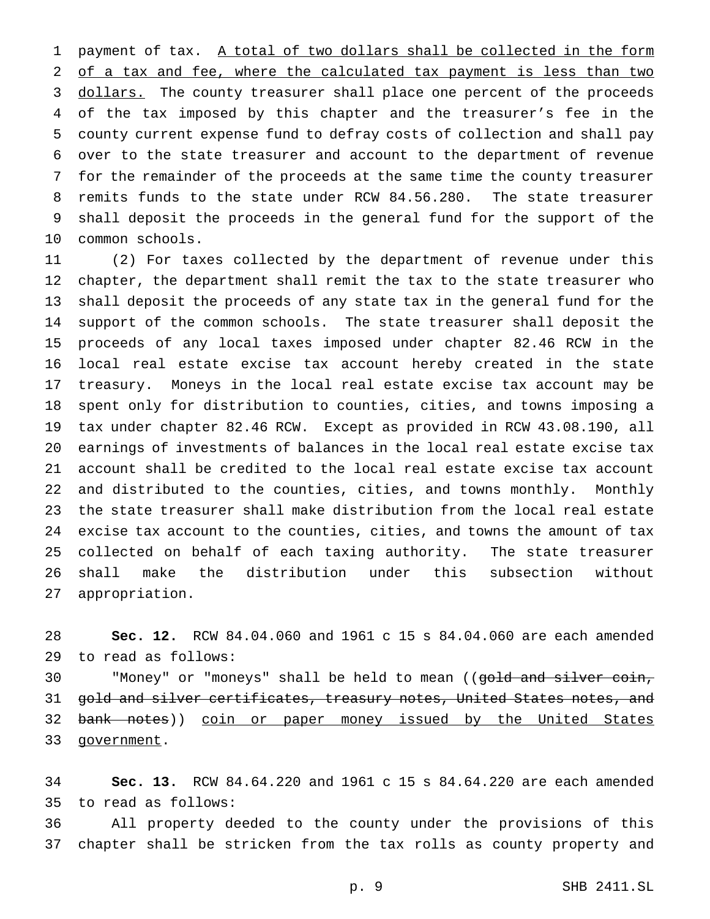1 payment of tax. A total of two dollars shall be collected in the form of a tax and fee, where the calculated tax payment is less than two 3 dollars. The county treasurer shall place one percent of the proceeds of the tax imposed by this chapter and the treasurer's fee in the county current expense fund to defray costs of collection and shall pay over to the state treasurer and account to the department of revenue for the remainder of the proceeds at the same time the county treasurer remits funds to the state under RCW 84.56.280. The state treasurer shall deposit the proceeds in the general fund for the support of the common schools.

 (2) For taxes collected by the department of revenue under this chapter, the department shall remit the tax to the state treasurer who shall deposit the proceeds of any state tax in the general fund for the support of the common schools. The state treasurer shall deposit the proceeds of any local taxes imposed under chapter 82.46 RCW in the local real estate excise tax account hereby created in the state treasury. Moneys in the local real estate excise tax account may be spent only for distribution to counties, cities, and towns imposing a tax under chapter 82.46 RCW. Except as provided in RCW 43.08.190, all earnings of investments of balances in the local real estate excise tax account shall be credited to the local real estate excise tax account and distributed to the counties, cities, and towns monthly. Monthly the state treasurer shall make distribution from the local real estate excise tax account to the counties, cities, and towns the amount of tax collected on behalf of each taxing authority. The state treasurer shall make the distribution under this subsection without appropriation.

 **Sec. 12.** RCW 84.04.060 and 1961 c 15 s 84.04.060 are each amended to read as follows:

30 "Money" or "moneys" shall be held to mean ((gold and silver coin, 31 gold and silver certificates, treasury notes, United States notes, and 32 bank notes)) coin or paper money issued by the United States 33 government.

 **Sec. 13.** RCW 84.64.220 and 1961 c 15 s 84.64.220 are each amended to read as follows:

 All property deeded to the county under the provisions of this chapter shall be stricken from the tax rolls as county property and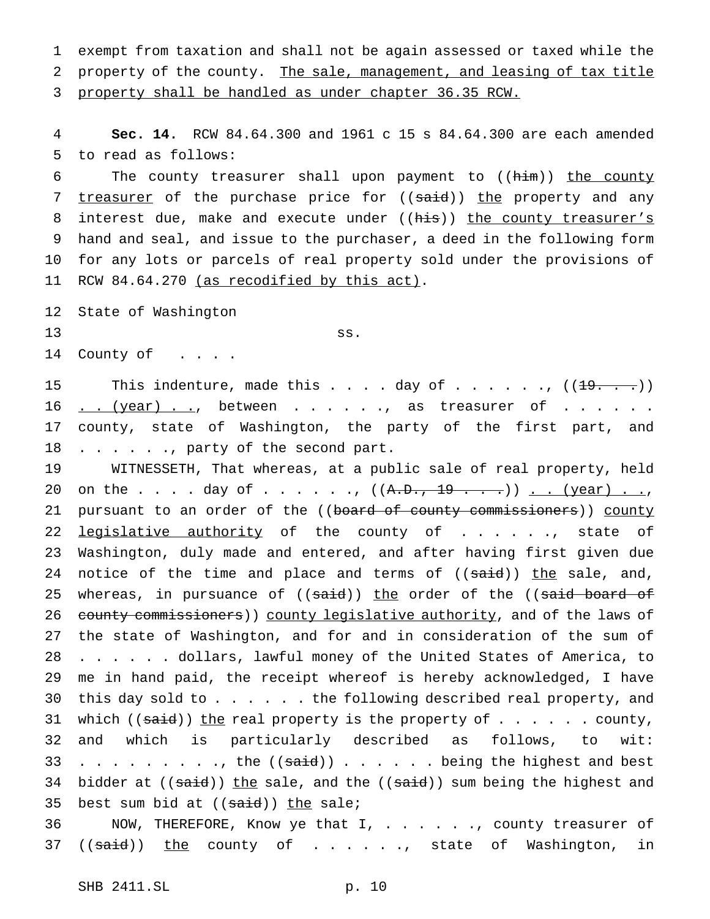1 exempt from taxation and shall not be again assessed or taxed while the 2 property of the county. The sale, management, and leasing of tax title 3 property shall be handled as under chapter 36.35 RCW.

4 **Sec. 14.** RCW 84.64.300 and 1961 c 15 s 84.64.300 are each amended 5 to read as follows:

6 The county treasurer shall upon payment to ((him)) the county 7 treasurer of the purchase price for ((said)) the property and any 8 interest due, make and execute under ((his)) the county treasurer's 9 hand and seal, and issue to the purchaser, a deed in the following form 10 for any lots or parcels of real property sold under the provisions of 11 RCW 84.64.270 (as recodified by this act).

12 State of Washington  $\left.\begin{array}{ccc} 13 & & & \end{array}\right\}$  ss. 14 County of . . . .

15 This indenture, made this  $\ldots$  . day of  $\ldots$  . . . .,  $((19, 0.1)$ 16 . . (year) . ., between . . . . . , as treasurer of . . . . . . 17 county, state of Washington, the party of the first part, and 18 . . . . . ., party of the second part.

19 WITNESSETH, That whereas, at a public sale of real property, held 20 on the . . . . day of . . . . . .,  $((A. D., 19 . . .))$  . . (year) . ., 21 pursuant to an order of the ((board of county commissioners)) county 22 legislative authority of the county of . . . . . , state of 23 Washington, duly made and entered, and after having first given due 24 notice of the time and place and terms of ((said)) the sale, and, 25 whereas, in pursuance of ((said)) the order of the ((said board of 26 county commissioners)) county legislative authority, and of the laws of 27 the state of Washington, and for and in consideration of the sum of 28 . . . . . dollars, lawful money of the United States of America, to 29 me in hand paid, the receipt whereof is hereby acknowledged, I have 30 this day sold to . . . . . . the following described real property, and 31 which  $((\text{said}))$  the real property is the property of  $\ldots \ldots$  . county, 32 and which is particularly described as follows, to wit: 33 . . . . . . . . ., the  $((\text{said}))$  . . . . . . being the highest and best 34 bidder at  $((\text{said}))$  the sale, and the  $((\text{said}))$  sum being the highest and 35 best sum bid at  $((\text{said}))$  the sale;

36 NOW, THEREFORE, Know ye that I, . . . . . ., county treasurer of 37 ((said)) the county of . . . . . , state of Washington, in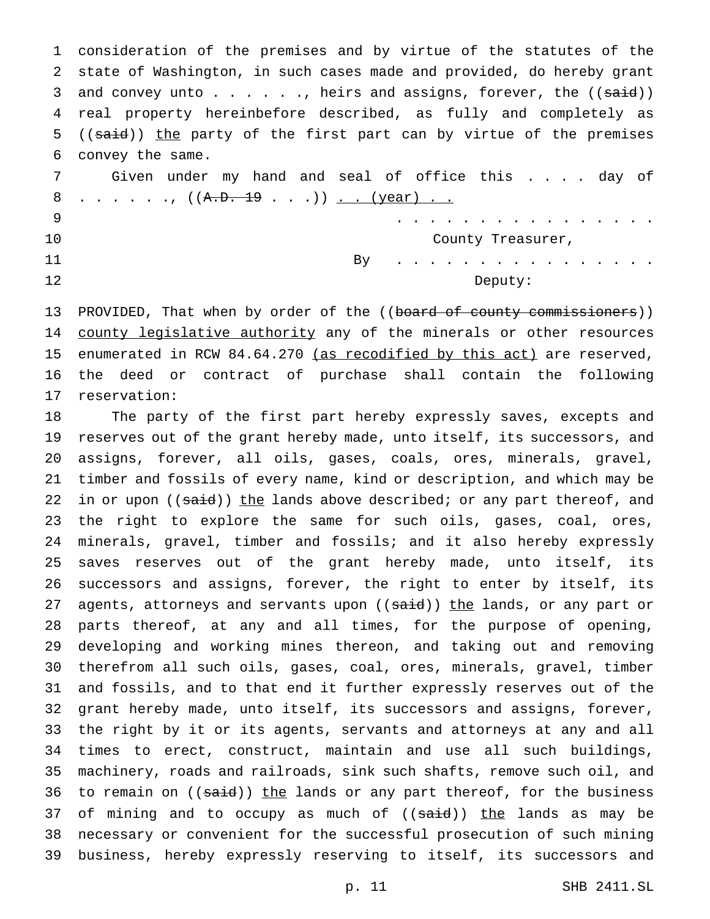consideration of the premises and by virtue of the statutes of the state of Washington, in such cases made and provided, do hereby grant 3 and convey unto  $\ldots$  . . . ., heirs and assigns, forever, the ((said)) real property hereinbefore described, as fully and completely as 5 ((said)) the party of the first part can by virtue of the premises convey the same.

7 Given under my hand and seal of office this . . . . day of 8 . . . . . .,  $((A.D. 19 . . .))$  <u>. . (year) . .</u> ................ 10 County Treasurer, the county of  $\sim$  2001 County Treasurer,

 By . . . . . . . . . . . . . . . . 12 Deputy:

13 PROVIDED, That when by order of the ((board of county commissioners)) 14 county legislative authority any of the minerals or other resources 15 enumerated in RCW 84.64.270 (as recodified by this act) are reserved, the deed or contract of purchase shall contain the following reservation:

 The party of the first part hereby expressly saves, excepts and reserves out of the grant hereby made, unto itself, its successors, and assigns, forever, all oils, gases, coals, ores, minerals, gravel, timber and fossils of every name, kind or description, and which may be 22 in or upon  $((\text{said}))$  the lands above described; or any part thereof, and the right to explore the same for such oils, gases, coal, ores, minerals, gravel, timber and fossils; and it also hereby expressly saves reserves out of the grant hereby made, unto itself, its successors and assigns, forever, the right to enter by itself, its 27 agents, attorneys and servants upon ((said)) the lands, or any part or parts thereof, at any and all times, for the purpose of opening, developing and working mines thereon, and taking out and removing therefrom all such oils, gases, coal, ores, minerals, gravel, timber and fossils, and to that end it further expressly reserves out of the grant hereby made, unto itself, its successors and assigns, forever, the right by it or its agents, servants and attorneys at any and all times to erect, construct, maintain and use all such buildings, machinery, roads and railroads, sink such shafts, remove such oil, and 36 to remain on ((said)) the lands or any part thereof, for the business 37 of mining and to occupy as much of  $((\text{said}))$  the lands as may be necessary or convenient for the successful prosecution of such mining business, hereby expressly reserving to itself, its successors and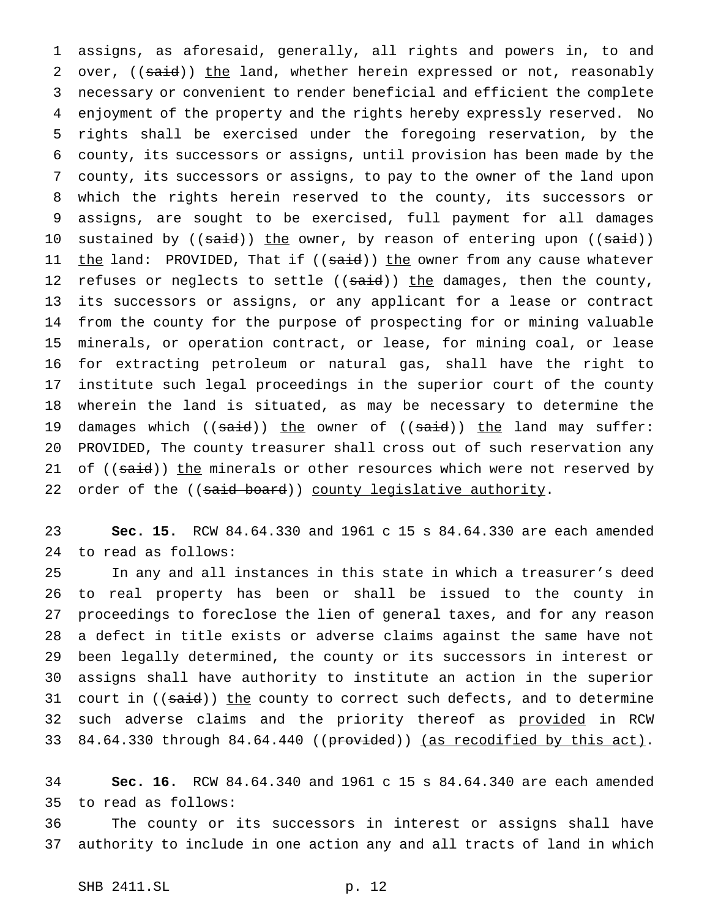assigns, as aforesaid, generally, all rights and powers in, to and 2 over, ((said)) the land, whether herein expressed or not, reasonably necessary or convenient to render beneficial and efficient the complete enjoyment of the property and the rights hereby expressly reserved. No rights shall be exercised under the foregoing reservation, by the county, its successors or assigns, until provision has been made by the county, its successors or assigns, to pay to the owner of the land upon which the rights herein reserved to the county, its successors or assigns, are sought to be exercised, full payment for all damages 10 sustained by ((said)) the owner, by reason of entering upon ((said)) 11 the land: PROVIDED, That if ((said)) the owner from any cause whatever 12 refuses or neglects to settle ((said)) the damages, then the county, its successors or assigns, or any applicant for a lease or contract from the county for the purpose of prospecting for or mining valuable minerals, or operation contract, or lease, for mining coal, or lease for extracting petroleum or natural gas, shall have the right to institute such legal proceedings in the superior court of the county wherein the land is situated, as may be necessary to determine the 19 damages which ((said)) the owner of ((said)) the land may suffer: PROVIDED, The county treasurer shall cross out of such reservation any 21 of  $((said))$  the minerals or other resources which were not reserved by 22 order of the ((said board)) county legislative authority.

 **Sec. 15.** RCW 84.64.330 and 1961 c 15 s 84.64.330 are each amended to read as follows:

 In any and all instances in this state in which a treasurer's deed to real property has been or shall be issued to the county in proceedings to foreclose the lien of general taxes, and for any reason a defect in title exists or adverse claims against the same have not been legally determined, the county or its successors in interest or assigns shall have authority to institute an action in the superior 31 court in ((said)) the county to correct such defects, and to determine 32 such adverse claims and the priority thereof as provided in RCW 33 84.64.330 through 84.64.440 ((provided)) (as recodified by this act).

 **Sec. 16.** RCW 84.64.340 and 1961 c 15 s 84.64.340 are each amended to read as follows:

 The county or its successors in interest or assigns shall have authority to include in one action any and all tracts of land in which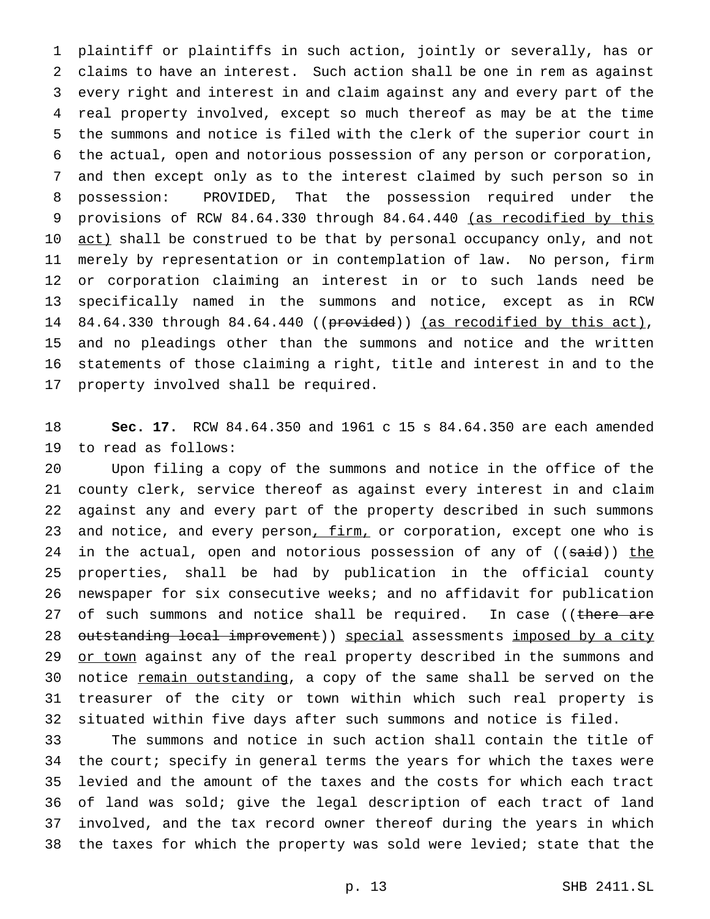plaintiff or plaintiffs in such action, jointly or severally, has or claims to have an interest. Such action shall be one in rem as against every right and interest in and claim against any and every part of the real property involved, except so much thereof as may be at the time the summons and notice is filed with the clerk of the superior court in the actual, open and notorious possession of any person or corporation, and then except only as to the interest claimed by such person so in possession: PROVIDED, That the possession required under the provisions of RCW 84.64.330 through 84.64.440 (as recodified by this 10 <u>act)</u> shall be construed to be that by personal occupancy only, and not merely by representation or in contemplation of law. No person, firm or corporation claiming an interest in or to such lands need be specifically named in the summons and notice, except as in RCW 14 84.64.330 through 84.64.440 ((provided)) (as recodified by this act), and no pleadings other than the summons and notice and the written statements of those claiming a right, title and interest in and to the property involved shall be required.

 **Sec. 17.** RCW 84.64.350 and 1961 c 15 s 84.64.350 are each amended to read as follows:

 Upon filing a copy of the summons and notice in the office of the county clerk, service thereof as against every interest in and claim against any and every part of the property described in such summons 23 and notice, and every person, firm, or corporation, except one who is 24 in the actual, open and notorious possession of any of ((said)) the properties, shall be had by publication in the official county newspaper for six consecutive weeks; and no affidavit for publication 27 of such summons and notice shall be required. In case ((there are 28 outstanding local improvement)) special assessments imposed by a city 29 or town against any of the real property described in the summons and 30 notice remain outstanding, a copy of the same shall be served on the treasurer of the city or town within which such real property is situated within five days after such summons and notice is filed.

 The summons and notice in such action shall contain the title of the court; specify in general terms the years for which the taxes were levied and the amount of the taxes and the costs for which each tract of land was sold; give the legal description of each tract of land involved, and the tax record owner thereof during the years in which the taxes for which the property was sold were levied; state that the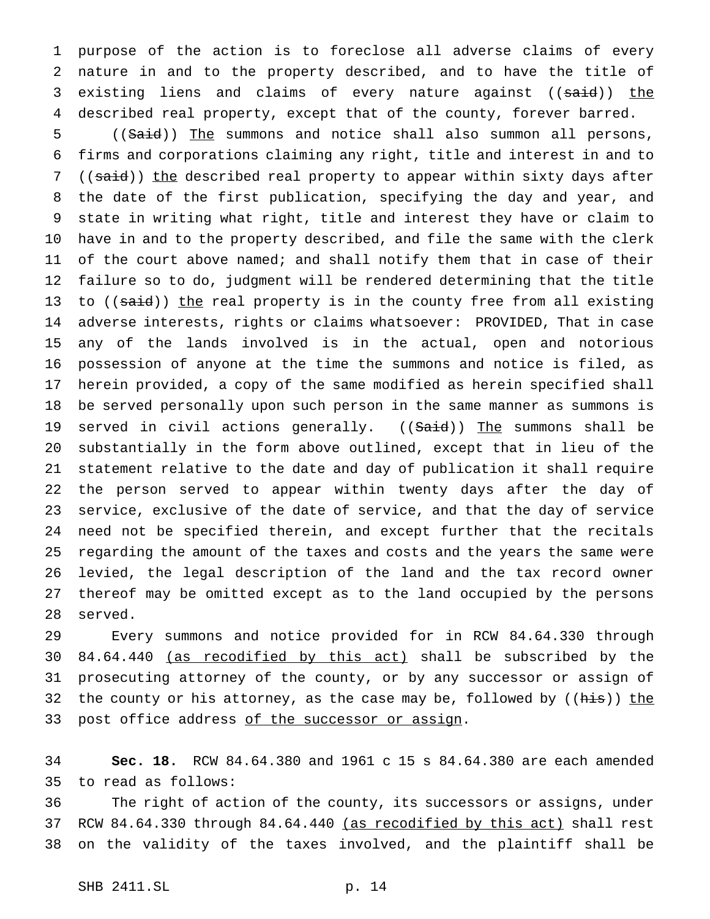purpose of the action is to foreclose all adverse claims of every nature in and to the property described, and to have the title of 3 existing liens and claims of every nature against ((said)) the described real property, except that of the county, forever barred.

5 ((Said)) The summons and notice shall also summon all persons, firms and corporations claiming any right, title and interest in and to 7 ((said)) the described real property to appear within sixty days after the date of the first publication, specifying the day and year, and state in writing what right, title and interest they have or claim to have in and to the property described, and file the same with the clerk of the court above named; and shall notify them that in case of their failure so to do, judgment will be rendered determining that the title 13 to ((said)) the real property is in the county free from all existing adverse interests, rights or claims whatsoever: PROVIDED, That in case any of the lands involved is in the actual, open and notorious possession of anyone at the time the summons and notice is filed, as herein provided, a copy of the same modified as herein specified shall be served personally upon such person in the same manner as summons is 19 served in civil actions generally. ((Said)) The summons shall be substantially in the form above outlined, except that in lieu of the statement relative to the date and day of publication it shall require the person served to appear within twenty days after the day of service, exclusive of the date of service, and that the day of service need not be specified therein, and except further that the recitals regarding the amount of the taxes and costs and the years the same were levied, the legal description of the land and the tax record owner thereof may be omitted except as to the land occupied by the persons served.

 Every summons and notice provided for in RCW 84.64.330 through 84.64.440 (as recodified by this act) shall be subscribed by the prosecuting attorney of the county, or by any successor or assign of 32 the county or his attorney, as the case may be, followed by ((his)) the 33 post office address of the successor or assign.

 **Sec. 18.** RCW 84.64.380 and 1961 c 15 s 84.64.380 are each amended to read as follows:

 The right of action of the county, its successors or assigns, under 37 RCW 84.64.330 through 84.64.440 (as recodified by this act) shall rest on the validity of the taxes involved, and the plaintiff shall be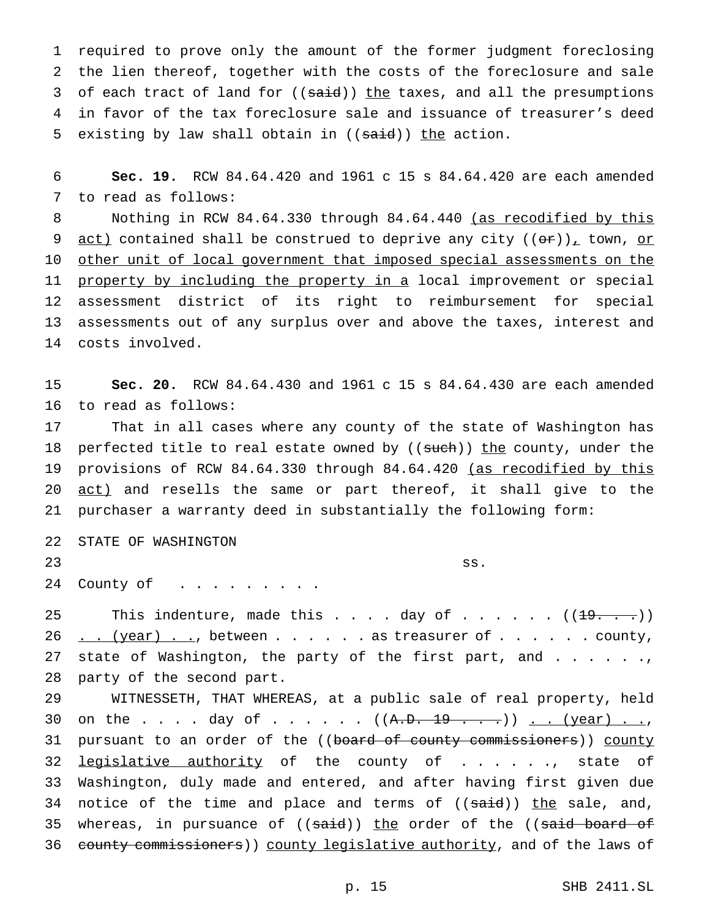1 required to prove only the amount of the former judgment foreclosing 2 the lien thereof, together with the costs of the foreclosure and sale 3 of each tract of land for ((said)) the taxes, and all the presumptions 4 in favor of the tax foreclosure sale and issuance of treasurer's deed 5 existing by law shall obtain in  $((\text{said}))$  the action.

6 **Sec. 19.** RCW 84.64.420 and 1961 c 15 s 84.64.420 are each amended 7 to read as follows:

8 Nothing in RCW 84.64.330 through 84.64.440 (as recodified by this 9 <u>act)</u> contained shall be construed to deprive any city ( $(\theta \cdot \mathbf{r})$ ), town, or 10 other unit of local government that imposed special assessments on the 11 property by including the property in a local improvement or special 12 assessment district of its right to reimbursement for special 13 assessments out of any surplus over and above the taxes, interest and 14 costs involved.

15 **Sec. 20.** RCW 84.64.430 and 1961 c 15 s 84.64.430 are each amended 16 to read as follows:

17 That in all cases where any county of the state of Washington has 18 perfected title to real estate owned by ((such)) the county, under the 19 provisions of RCW 84.64.330 through 84.64.420 (as recodified by this 20 act) and resells the same or part thereof, it shall give to the 21 purchaser a warranty deed in substantially the following form:

|    | 22 STATE OF WASHINGTON |                                                         |
|----|------------------------|---------------------------------------------------------|
| 23 |                        | $\left\{\begin{array}{c} \text{ss.} \end{array}\right.$ |
|    | 24 County of           |                                                         |

25 This indenture, made this  $\ldots$  . day of  $\ldots$  . . . .  $((19, 0.1)$  $26 \ldots (year) \ldots$ , between . . . . . as treasurer of . . . . . . county, 27 state of Washington, the party of the first part, and . . . . . ., 28 party of the second part.

29 WITNESSETH, THAT WHEREAS, at a public sale of real property, held 30 on the . . . . day of . . . . . .  $((A. D. 19 . . . .))$  . . (year) . ., 31 pursuant to an order of the ((board of county commissioners)) county 32 legislative authority of the county of . . . . . ., state of 33 Washington, duly made and entered, and after having first given due 34 notice of the time and place and terms of  $((\text{said}))$  the sale, and, 35 whereas, in pursuance of ((said)) the order of the ((said board of 36 county commissioners)) county legislative authority, and of the laws of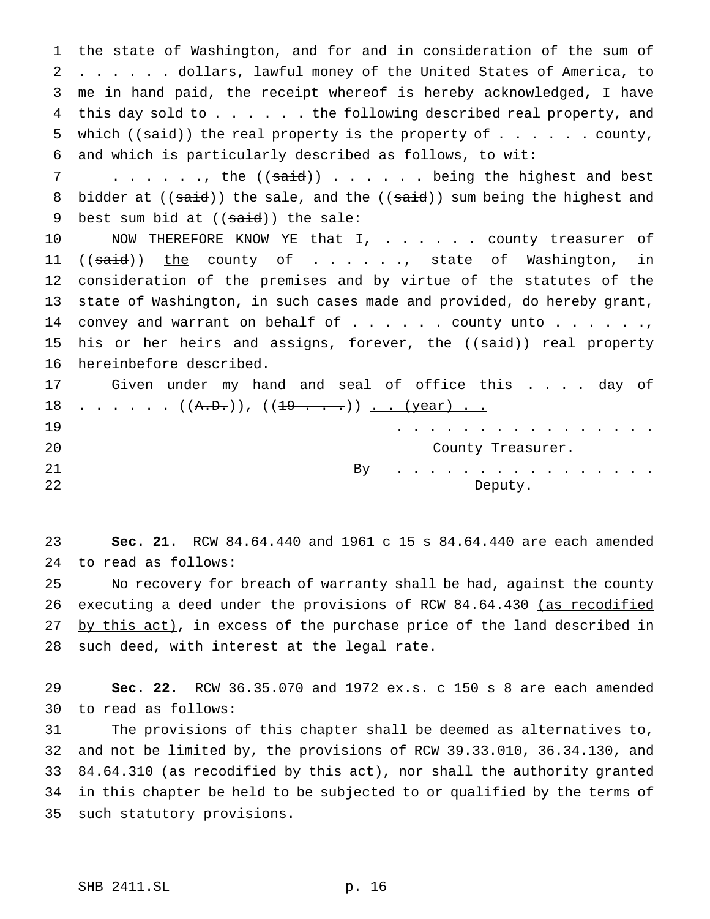the state of Washington, and for and in consideration of the sum of ...... dollars, lawful money of the United States of America, to me in hand paid, the receipt whereof is hereby acknowledged, I have 4 this day sold to . . . . . . the following described real property, and 5 which (( $said$ )) the real property is the property of  $\dots$ .... county, and which is particularly described as follows, to wit:

7 . . . . . ., the ((said)) . . . . . . being the highest and best 8 bidder at  $((said))$  the sale, and the  $((said))$  sum being the highest and 9 best sum bid at  $((\text{said}))$  the sale:

10 MOW THEREFORE KNOW YE that I, . . . . . county treasurer of 11 ((said)) the county of . . . . ., state of Washington, in consideration of the premises and by virtue of the statutes of the state of Washington, in such cases made and provided, do hereby grant, 14 convey and warrant on behalf of  $\ldots$ .... county unto ......, 15 his or her heirs and assigns, forever, the ((said)) real property hereinbefore described.

 Given under my hand and seal of office this . . . . day of . . . . . . ( $(A.B.)$ ), ( $(19$  . . .)) <u>. . (year) . .</u> ................ County Treasurer. By . . . . . . . . . . . . . . . .

22 Deputy.

 **Sec. 21.** RCW 84.64.440 and 1961 c 15 s 84.64.440 are each amended to read as follows:

 No recovery for breach of warranty shall be had, against the county 26 executing a deed under the provisions of RCW 84.64.430 (as recodified 27 by this act), in excess of the purchase price of the land described in such deed, with interest at the legal rate.

 **Sec. 22.** RCW 36.35.070 and 1972 ex.s. c 150 s 8 are each amended to read as follows:

 The provisions of this chapter shall be deemed as alternatives to, and not be limited by, the provisions of RCW 39.33.010, 36.34.130, and 33 84.64.310 (as recodified by this act), nor shall the authority granted in this chapter be held to be subjected to or qualified by the terms of such statutory provisions.